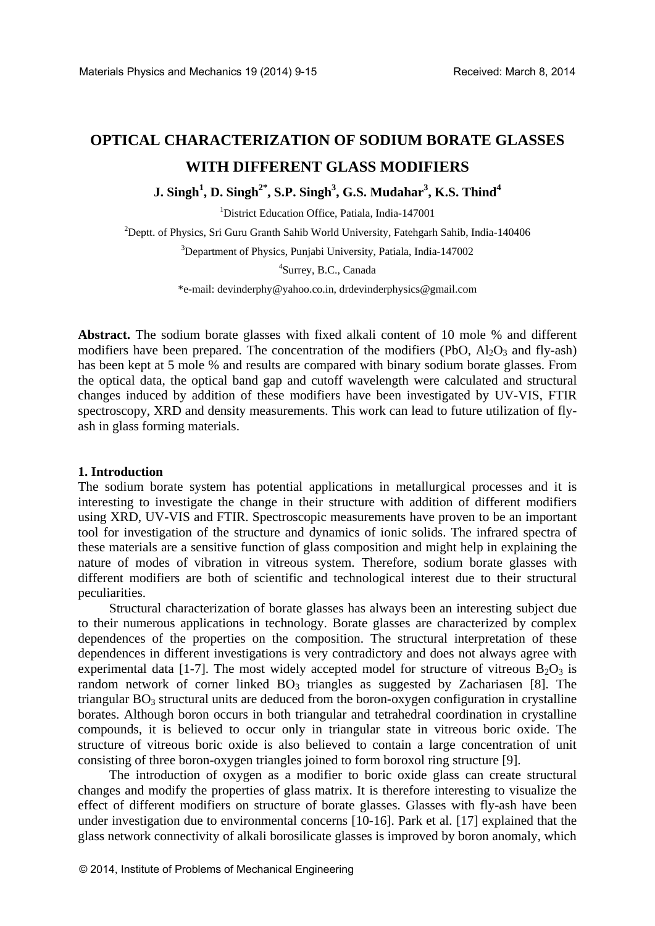## **OPTICAL CHARACTERIZATION OF SODIUM BORATE GLASSES WITH DIFFERENT GLASS MODIFIERS**

### **J. Singh<sup>1</sup> , D. Singh2\* , S.P. Singh<sup>3</sup> , G.S. Mudahar<sup>3</sup> , K.S. Thind<sup>4</sup>**

<sup>1</sup>District Education Office, Patiala, India-147001

 $2$ Deptt. of Physics, Sri Guru Granth Sahib World University, Fatehgarh Sahib, India-140406

<sup>3</sup>Department of Physics, Punjabi University, Patiala, India-147002

### 4 Surrey, B.C., Canada

\*e-mail[: devinderphy@yahoo.co.in,](mailto:devinderphy@yahoo.co.in) [drdevinderphysics@gmail.com](mailto:drdevinderphysics@gmail.com)

**Abstract.** The sodium borate glasses with fixed alkali content of 10 mole % and different modifiers have been prepared. The concentration of the modifiers (PbO,  $A<sub>1</sub>O<sub>3</sub>$  and fly-ash) has been kept at 5 mole % and results are compared with binary sodium borate glasses. From the optical data, the optical band gap and cutoff wavelength were calculated and structural changes induced by addition of these modifiers have been investigated by UV-VIS, FTIR spectroscopy, XRD and density measurements. This work can lead to future utilization of flyash in glass forming materials.

### **1. Introduction**

The sodium borate system has potential applications in metallurgical processes and it is interesting to investigate the change in their structure with addition of different modifiers using XRD, UV-VIS and FTIR. Spectroscopic measurements have proven to be an important tool for investigation of the structure and dynamics of ionic solids. The infrared spectra of these materials are a sensitive function of glass composition and might help in explaining the nature of modes of vibration in vitreous system. Therefore, sodium borate glasses with different modifiers are both of scientific and technological interest due to their structural peculiarities.

Structural characterization of borate glasses has always been an interesting subject due to their numerous applications in technology. Borate glasses are characterized by complex dependences of the properties on the composition. The structural interpretation of these dependences in different investigations is very contradictory and does not always agree with experimental data [1-7]. The most widely accepted model for structure of vitreous  $B_2O_3$  is random network of corner linked  $BO_3$  triangles as suggested by Zachariasen [8]. The triangular  $BO_3$  structural units are deduced from the boron-oxygen configuration in crystalline borates. Although boron occurs in both triangular and tetrahedral coordination in crystalline compounds, it is believed to occur only in triangular state in vitreous boric oxide. The structure of vitreous boric oxide is also believed to contain a large concentration of unit consisting of three boron-oxygen triangles joined to form boroxol ring structure [9].

The introduction of oxygen as a modifier to boric oxide glass can create structural changes and modify the properties of glass matrix. It is therefore interesting to visualize the effect of different modifiers on structure of borate glasses. Glasses with fly-ash have been under investigation due to environmental concerns [10-16]. Park et al. [17] explained that the glass network connectivity of alkali borosilicate glasses is improved by boron anomaly, which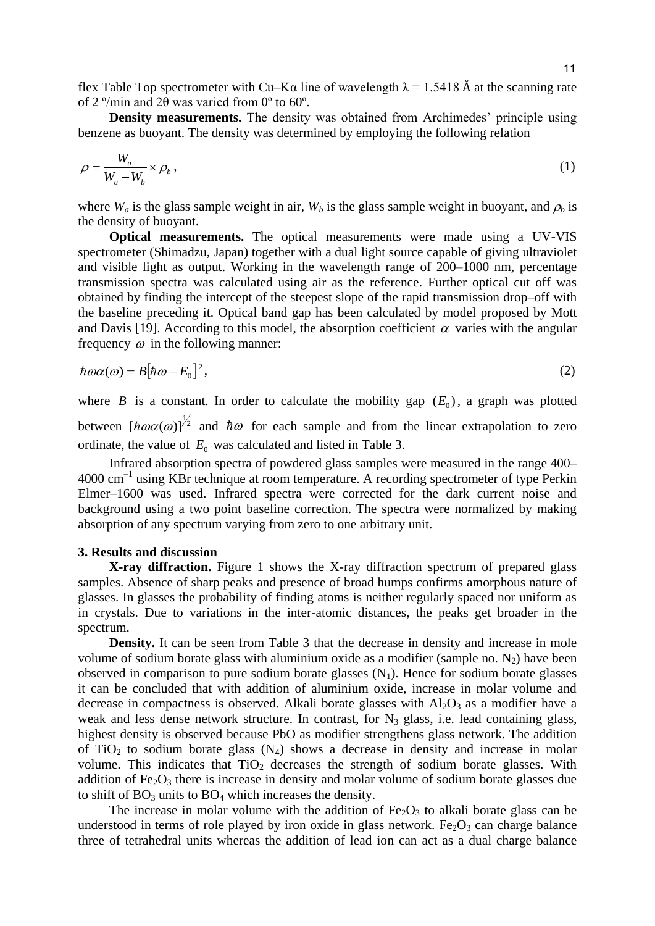flex Table Top spectrometer with Cu–Kα line of wavelength  $\lambda$  = 1.5418 Å at the scanning rate of 2 º/min and 2θ was varied from 0º to 60º.

**Density measurements.** The density was obtained from Archimedes' principle using benzene as buoyant. The density was determined by employing the following relation

$$
\rho = \frac{W_a}{W_a - W_b} \times \rho_b \,,\tag{1}
$$

where  $W_a$  is the glass sample weight in air,  $W_b$  is the glass sample weight in buoyant, and  $\rho_b$  is the density of buoyant.

**Optical measurements.** The optical measurements were made using a UV-VIS spectrometer (Shimadzu, Japan) together with a dual light source capable of giving ultraviolet and visible light as output. Working in the wavelength range of 200–1000 nm, percentage transmission spectra was calculated using air as the reference. Further optical cut off was obtained by finding the intercept of the steepest slope of the rapid transmission drop–off with the baseline preceding it. Optical band gap has been calculated by model proposed by Mott and Davis [19]. According to this model, the absorption coefficient  $\alpha$  varies with the angular frequency  $\omega$  in the following manner:

$$
\hbar \omega \alpha(\omega) = B[\hbar \omega - E_0]^2,\tag{2}
$$

where *B* is a constant. In order to calculate the mobility gap  $(E_0)$ , a graph was plotted between  $[\hbar \omega \alpha(\omega)]^{\frac{1}{2}}$  and  $\hbar \omega$  for each sample and from the linear extrapolation to zero ordinate, the value of  $E_0$  was calculated and listed in Table 3.

Infrared absorption spectra of powdered glass samples were measured in the range 400– 4000 cm–1 using KBr technique at room temperature. A recording spectrometer of type Perkin Elmer–1600 was used. Infrared spectra were corrected for the dark current noise and background using a two point baseline correction. The spectra were normalized by making absorption of any spectrum varying from zero to one arbitrary unit.

### **3. Results and discussion**

**X-ray diffraction.** Figure 1 shows the X-ray diffraction spectrum of prepared glass samples. Absence of sharp peaks and presence of broad humps confirms amorphous nature of glasses. In glasses the probability of finding atoms is neither regularly spaced nor uniform as in crystals. Due to variations in the inter-atomic distances, the peaks get broader in the spectrum.

**Density.** It can be seen from Table 3 that the decrease in density and increase in mole volume of sodium borate glass with aluminium oxide as a modifier (sample no.  $N_2$ ) have been observed in comparison to pure sodium borate glasses  $(N_1)$ . Hence for sodium borate glasses it can be concluded that with addition of aluminium oxide, increase in molar volume and decrease in compactness is observed. Alkali borate glasses with  $Al_2O_3$  as a modifier have a weak and less dense network structure. In contrast, for  $N_3$  glass, i.e. lead containing glass, highest density is observed because PbO as modifier strengthens glass network. The addition of  $TiO<sub>2</sub>$  to sodium borate glass  $(N<sub>4</sub>)$  shows a decrease in density and increase in molar volume. This indicates that  $TiO<sub>2</sub>$  decreases the strength of sodium borate glasses. With addition of  $Fe<sub>2</sub>O<sub>3</sub>$  there is increase in density and molar volume of sodium borate glasses due to shift of  $BO_3$  units to  $BO_4$  which increases the density.

The increase in molar volume with the addition of  $Fe<sub>2</sub>O<sub>3</sub>$  to alkali borate glass can be understood in terms of role played by iron oxide in glass network.  $Fe<sub>2</sub>O<sub>3</sub>$  can charge balance three of tetrahedral units whereas the addition of lead ion can act as a dual charge balance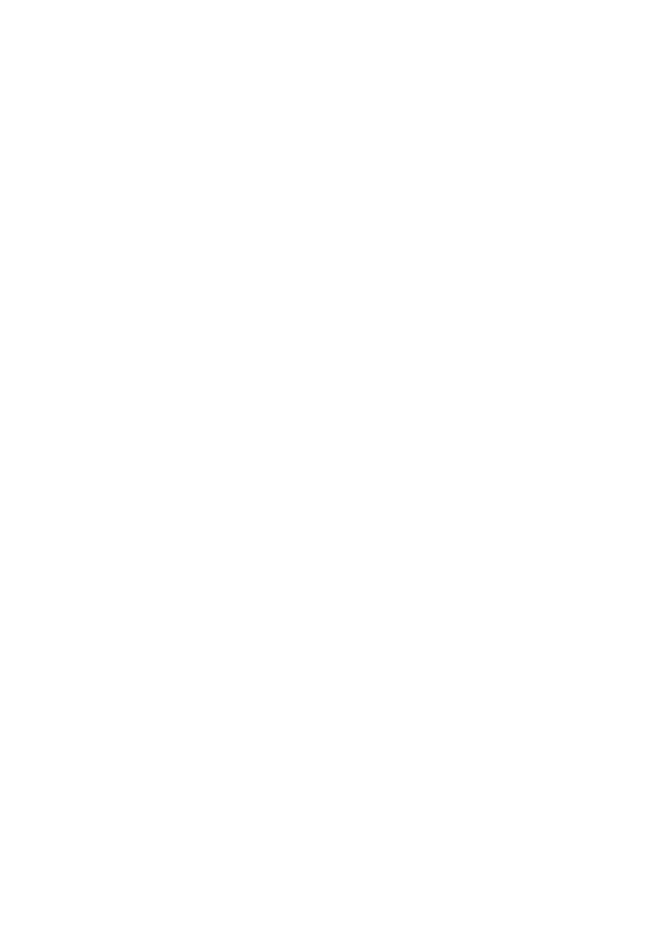# OPTICAL CHARACTERIZATION OF SODIUM BORATE GLASSES WITH DIFFERENT GLASS MODIFIERS

J. Singh<sup>1</sup>, D. Singh<sup>2\*</sup>, S.P. Singh<sup>3</sup>, G.S. Mudahar<sup>3</sup>, K.S. Thind<sup>4</sup>

<sup>1</sup>District Education Office, Patiala, India-147001

<sup>2</sup>Deptt. of Physics, Sri Guru Granth Sahib World University, Fatehgarh Sahib, India-140406

<sup>3</sup>Department of Physics, Punibi University, Patiala, India-147002

### <sup>4</sup>Surrey, B.C., Canada

\*e-mail: deinderphy@hoo.co.in , drdeinderphysics@nail.com

Abstract. The sodium borate glass ith fixed alkli content of 10 mole % and different modifiers have been prepared. The concentration of the modifiers (PbO<sub>2</sub> $\Theta$ ) and fly-ash) has been kpt at 5 mole % nd results are compared ith binary sodium borate glasses. From the optical data, the optical band gap and cutoff welength or e calculated and structural changes induced by addition of these modifiers have been investigated by UV-KS, FTIR spectroscopy, XRD and density measurements. This wrkan lead to future utiliation of fly ash in glass forming materials.

#### 1. Introduction

The sodium borate system has potential applications in metallurgical processes and it is interesting to investigate the change in their structure ith addition of different modifiers using XRD, UWS and FTIR. Spectroscopic measurements have proven to be an important tool for investigation of the structure and dynamics of ionic solids. The infrared spectra of these materials are a sensitive function of glass composition and might help in explaining the nature of modes of ibration in itreous system. Therefore, sodium borate glasses ith different modifiers are both of scientific and technological interest due to their structural peculiarities.

Structural characteriation of borate glasses has alwas been an interesting subject due to their numerous applications in technology. Borate glasses are characterized by complex dependences of the properties on the composition. The structural interpretation of these dependences in different investigations is very contradictory and does not alwas agree ith experimental data  $-7$ . The most idely accepted model for structure of it resumes  $B_2O_3$  is random netwrkof corner linkd BO<sub>3</sub> triangles as suggested by Zachariasen 8, The triangulano BO<sub>3</sub> structural units are deduced from the boron-oxygen configuration in crystalline borates. Although boron occurs in both triangular and tetrahedral coordination in crystalline compounds, it is believed to occur only in triangular state in it reous boric oxide. The structure of it reous boric oxide is also believed to contain a large concentration of unit consisting of three boron-oxygen triangles joined torm boroxol ring structure  $\mathfrak{p}$ .

The introduction of oxygen as a modifier to boric oxide glass can create structural changes and modify the properties of glass matrix. It is therefore interesting to isualize the effect of different modifiers on structure of borate glasses. Glasses ith fly-ash have been under investigation due to enironmental concern [10-16] Parlet al. 17 explained that the glass netwrkonnectiity of alkli borosilicate glasses is improved by boron anomaly, hich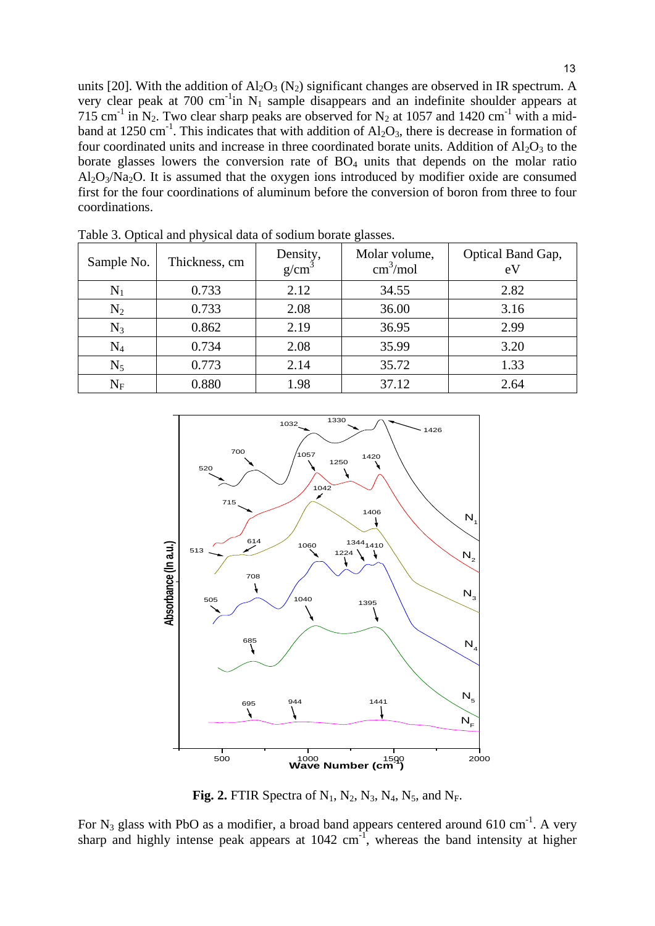units [20]. With the addition of  $A_2O_3(N_2)$  significant changes are observed in IR spectrum. A very clear peak at 700 cm<sup>-1</sup>in N<sub>1</sub> sample disappears and an indefinite shoulder appears at 715 cm<sup>-1</sup> in N<sub>2</sub>. Two clear sharp peaks are observed for N<sub>2</sub> at 1057 and 1420 cm<sup>-1</sup> with a midband at  $1250 \text{ cm}^{-1}$ . This indicates that with addition of  $Al_2O_3$ , there is decrease in formation of four coordinated units and increase in three coordinated borate units. Addition of  $Al_2O_3$  to the borate glasses lowers the conversion rate of  $BO<sub>4</sub>$  units that depends on the molar ratio  $Al_2O_3/Na_2O$ . It is assumed that the oxygen ions introduced by modifier oxide are consumed first for the four coordinations of aluminum before the conversion of boron from three to four coordinations.

| Sample No.     | Thickness, cm | Density,<br>g/cm <sup>3</sup> | Molar volume,<br>$\text{cm}^3/\text{mol}$ | Optical Band Gap,<br>eV |
|----------------|---------------|-------------------------------|-------------------------------------------|-------------------------|
| $\rm N_1$      | 0.733         | 2.12                          | 34.55                                     | 2.82                    |
| $\rm N_2$      | 0.733         | 2.08                          | 36.00                                     | 3.16                    |
| $\mathrm{N}_3$ | 0.862         | 2.19                          | 36.95                                     | 2.99                    |
| $\rm N_4$      | 0.734         | 2.08                          | 35.99                                     | 3.20                    |
| $\rm N_5$      | 0.773         | 2.14                          | 35.72                                     | 1.33                    |
| $\rm N_F$      | 0.880         | 1.98                          | 37.12                                     | 2.64                    |

Table 3. Optical and physical data of sodium borate glasses.



**Fig. 2.** FTIR Spectra of  $N_1$ ,  $N_2$ ,  $N_3$ ,  $N_4$ ,  $N_5$ , and  $N_F$ .

For  $N_3$  glass with PbO as a modifier, a broad band appears centered around 610 cm<sup>-1</sup>. A very sharp and highly intense peak appears at  $1042 \text{ cm}^{-1}$ , whereas the band intensity at higher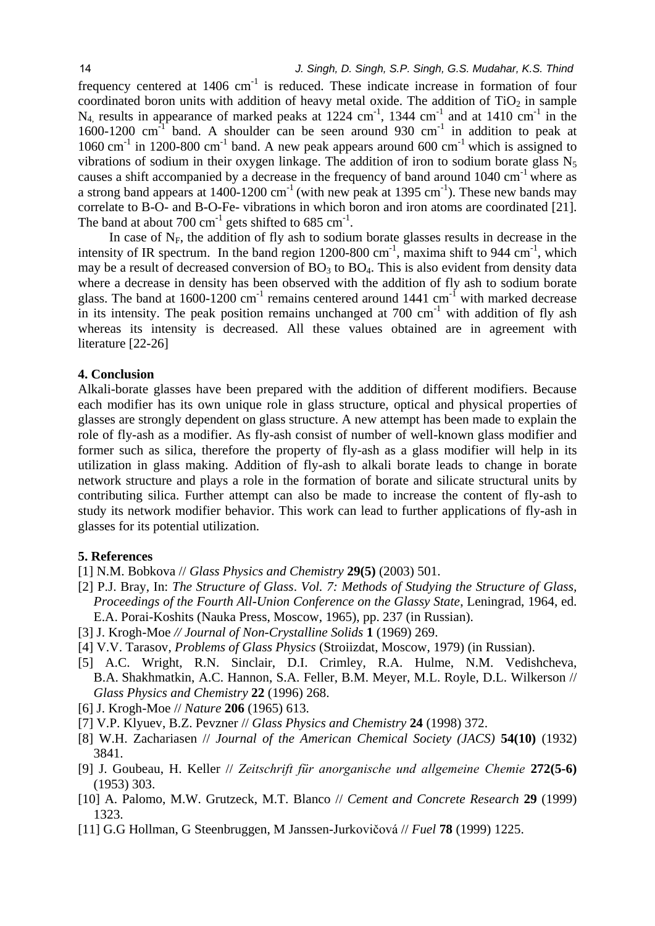frequency centered at  $1406 \text{ cm}^{-1}$  is reduced. These indicate increase in formation of four coordinated boron units with addition of heavy metal oxide. The addition of  $TiO<sub>2</sub>$  in sample  $N_4$ , results in appearance of marked peaks at 1224 cm<sup>-1</sup>, 1344 cm<sup>-1</sup> and at 1410 cm<sup>-1</sup> in the 1600-1200 cm<sup>-1</sup> band. A shoulder can be seen around 930 cm<sup>-1</sup> in addition to peak at 1060 cm<sup>-1</sup> in 1200-800 cm<sup>-1</sup> band. A new peak appears around 600 cm<sup>-1</sup> which is assigned to vibrations of sodium in their oxygen linkage. The addition of iron to sodium borate glass  $N_5$ causes a shift accompanied by a decrease in the frequency of band around  $1040 \text{ cm}^{-1}$  where as a strong band appears at  $1400-1200$  cm<sup>-1</sup> (with new peak at  $1395$  cm<sup>-1</sup>). These new bands may correlate to B-O- and B-O-Fe- vibrations in which boron and iron atoms are coordinated [21]. The band at about 700  $\text{cm}^{-1}$  gets shifted to 685  $\text{cm}^{-1}$ .

In case of  $N_F$ , the addition of fly ash to sodium borate glasses results in decrease in the intensity of IR spectrum. In the band region  $1200-800$  cm<sup>-1</sup>, maxima shift to 944 cm<sup>-1</sup>, which may be a result of decreased conversion of  $BO_3$  to  $BO_4$ . This is also evident from density data where a decrease in density has been observed with the addition of fly ash to sodium borate glass. The band at 1600-1200 cm<sup>-1</sup> remains centered around 1441 cm<sup>-1</sup> with marked decrease in its intensity. The peak position remains unchanged at  $700 \text{ cm}^{-1}$  with addition of fly ash whereas its intensity is decreased. All these values obtained are in agreement with literature [22-26]

### **4. Conclusion**

Alkali-borate glasses have been prepared with the addition of different modifiers. Because each modifier has its own unique role in glass structure, optical and physical properties of glasses are strongly dependent on glass structure. A new attempt has been made to explain the role of fly-ash as a modifier. As fly-ash consist of number of well-known glass modifier and former such as silica, therefore the property of fly-ash as a glass modifier will help in its utilization in glass making. Addition of fly-ash to alkali borate leads to change in borate network structure and plays a role in the formation of borate and silicate structural units by contributing silica. Further attempt can also be made to increase the content of fly-ash to study its network modifier behavior. This work can lead to further applications of fly-ash in glasses for its potential utilization.

### **5. References**

- [1] N.M. Bobkova // *Glass Physics and Chemistry* **29(5)** (2003) 501.
- [2] P.J. Bray, In: *The Structure of Glass*. *Vol. 7: Methods of Studying the Structure of Glass, Proceedings of the Fourth All-Union Conference on the Glassy State*, Leningrad, 1964, ed. E.A. Porai-Koshits (Nauka Press, Moscow, 1965), pp. 237 (in Russian).
- [3] J. Krogh-Moe *// Journal of Non-Crystalline Solids* **1** (1969) 269.
- [4] V.V. Tarasov, *Problems of Glass Physics* (Stroiizdat, Moscow, 1979) (in Russian).
- [5] A.C. Wright, R.N. Sinclair, D.I. Crimley, R.A. Hulme, N.M. Vedishcheva, B.A. Shakhmatkin, A.C. Hannon, S.A. Feller, B.M. Meyer, M.L. Royle, D.L. Wilkerson // *Glass Physics and Chemistry* **22** (1996) 268.
- [6] J. Krogh-Moe // *Nature* **206** (1965) 613.
- [7] V.P. Klyuev, B.Z. Pevzner // *Glass Physics and Chemistry* **24** (1998) 372.
- [8] W.H. Zachariasen // *Journal of the American Chemical Society (JACS)* **54(10)** (1932) 3841.
- [9] J. Goubeau, H. Keller // *Zeitschrift für anorganische und allgemeine Chemie* **272(5-6)** (1953) 303.
- [10] A. Palomo, M.W. Grutzeck, M.T. Blanco // *[Cement and Concrete Research](http://www.sciencedirect.com/science/journal/00088846)* **29** (1999) 1323.
- [11] G.G Hollman, G Steenbruggen, M Janssen-Jurkovičová // *[Fuel](http://www.sciencedirect.com/science/journal/00162361)* **78** (1999) 1225.